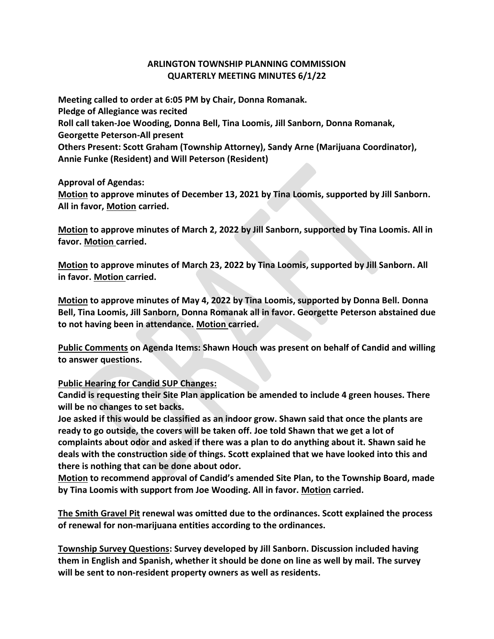## **ARLINGTON TOWNSHIP PLANNING COMMISSION QUARTERLY MEETING MINUTES 6/1/22**

**Meeting called to order at 6:05 PM by Chair, Donna Romanak. Pledge of Allegiance was recited Roll call taken-Joe Wooding, Donna Bell, Tina Loomis, Jill Sanborn, Donna Romanak, Georgette Peterson-All present Others Present: Scott Graham (Township Attorney), Sandy Arne (Marijuana Coordinator), Annie Funke (Resident) and Will Peterson (Resident)**

**Approval of Agendas:**

**Motion to approve minutes of December 13, 2021 by Tina Loomis, supported by Jill Sanborn. All in favor, Motion carried.**

**Motion to approve minutes of March 2, 2022 by Jill Sanborn, supported by Tina Loomis. All in favor. Motion carried.**

**Motion to approve minutes of March 23, 2022 by Tina Loomis, supported by Jill Sanborn. All in favor. Motion carried.**

**Motion to approve minutes of May 4, 2022 by Tina Loomis, supported by Donna Bell. Donna Bell, Tina Loomis, Jill Sanborn, Donna Romanak all in favor. Georgette Peterson abstained due to not having been in attendance. Motion carried.**

**Public Comments on Agenda Items: Shawn Houch was present on behalf of Candid and willing to answer questions.**

**Public Hearing for Candid SUP Changes:**

**Candid is requesting their Site Plan application be amended to include 4 green houses. There will be no changes to set backs.**

**Joe asked if this would be classified as an indoor grow. Shawn said that once the plants are ready to go outside, the covers will be taken off. Joe told Shawn that we get a lot of complaints about odor and asked if there was a plan to do anything about it. Shawn said he deals with the construction side of things. Scott explained that we have looked into this and there is nothing that can be done about odor.**

**Motion to recommend approval of Candid's amended Site Plan, to the Township Board, made by Tina Loomis with support from Joe Wooding. All in favor. Motion carried.**

**The Smith Gravel Pit renewal was omitted due to the ordinances. Scott explained the process of renewal for non-marijuana entities according to the ordinances.**

**Township Survey Questions: Survey developed by Jill Sanborn. Discussion included having them in English and Spanish, whether it should be done on line as well by mail. The survey will be sent to non-resident property owners as well as residents.**